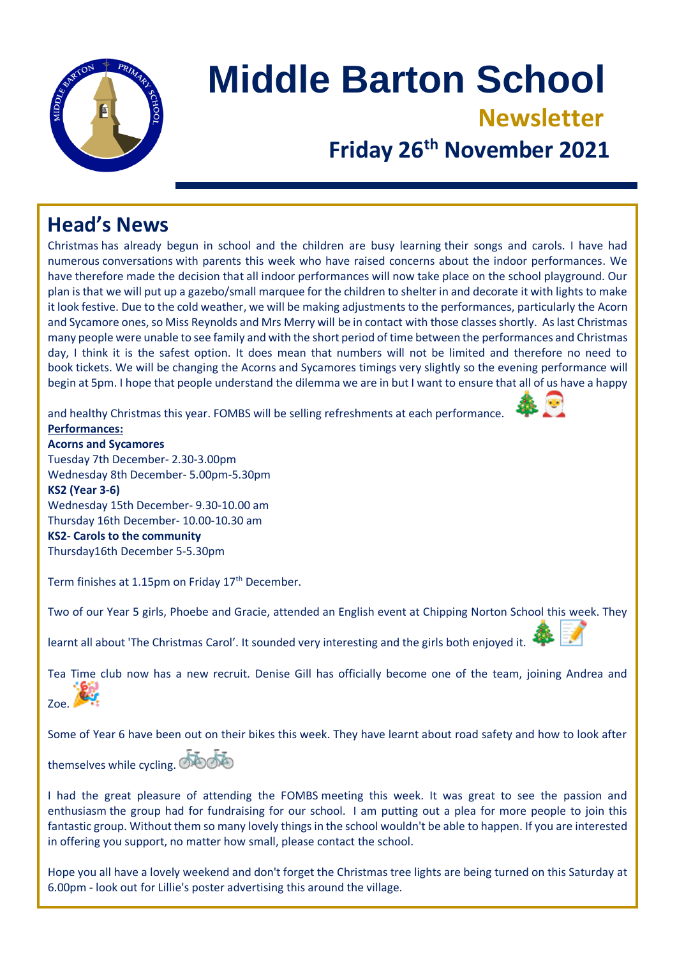

# **Middle Barton School Newsletter Friday 26th November 2021**

### **Head's News**

Christmas has already begun in school and the children are busy learning their songs and carols. I have had numerous conversations with parents this week who have raised concerns about the indoor performances. We have therefore made the decision that all indoor performances will now take place on the school playground. Our plan is that we will put up a gazebo/small marquee for the children to shelter in and decorate it with lights to make it look festive. Due to the cold weather, we will be making adjustments to the performances, particularly the Acorn and Sycamore ones, so Miss Reynolds and Mrs Merry will be in contact with those classes shortly. As last Christmas many people were unable to see family and with the short period of time between the performances and Christmas day, I think it is the safest option. It does mean that numbers will not be limited and therefore no need to book tickets. We will be changing the Acorns and Sycamores timings very slightly so the evening performance will begin at 5pm. I hope that people understand the dilemma we are in but I want to ensure that all of us have a happy

and healthy Christmas this year. FOMBS will be selling refreshments at each performance. **Performances:**



**Acorns and Sycamores** Tuesday 7th December- 2.30-3.00pm Wednesday 8th December- 5.00pm-5.30pm **KS2 (Year 3-6)** Wednesday 15th December- 9.30-10.00 am Thursday 16th December- 10.00-10.30 am **KS2- Carols to the community** Thursday16th December 5-5.30pm

Term finishes at 1.15pm on Friday 17<sup>th</sup> December.

Two of our Year 5 girls, Phoebe and Gracie, attended an English event at Chipping Norton School this week. They

learnt all about 'The Christmas Carol'. It sounded very interesting and the girls both enjoyed it.

Tea Time club now has a new recruit. Denise Gill has officially become one of the team, joining Andrea and Zoe.

Some of Year 6 have been out on their bikes this week. They have learnt about road safety and how to look after

themselves while cycling.

I had the great pleasure of attending the FOMBS meeting this week. It was great to see the passion and enthusiasm the group had for fundraising for our school. I am putting out a plea for more people to join this fantastic group. Without them so many lovely things in the school wouldn't be able to happen. If you are interested in offering you support, no matter how small, please contact the school.

Hope you all have a lovely weekend and don't forget the Christmas tree lights are being turned on this Saturday at 6.00pm - look out for Lillie's poster advertising this around the village.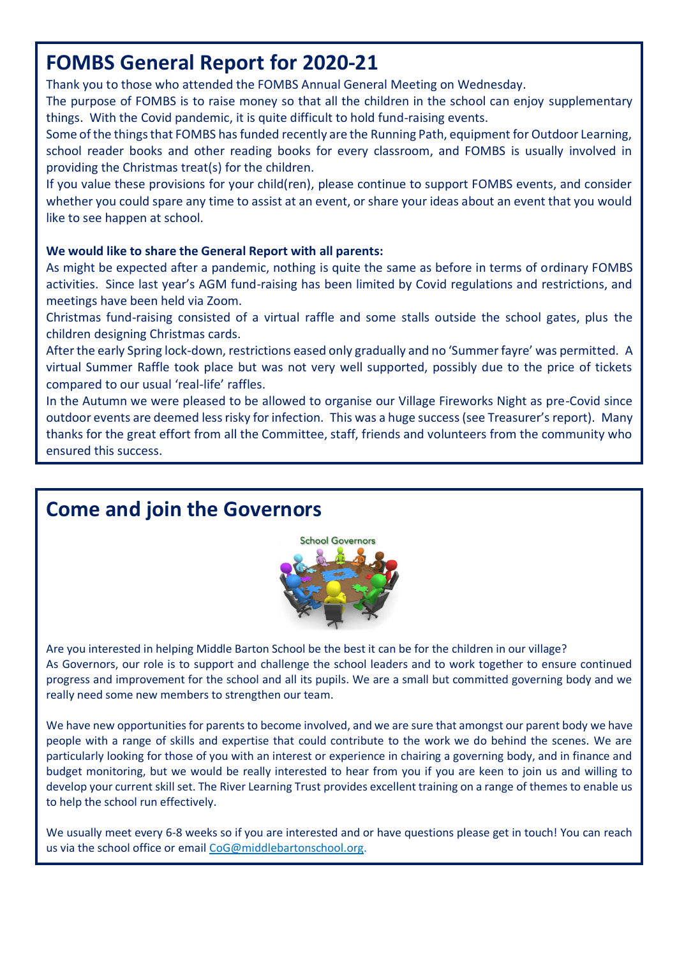### **FOMBS General Report for 2020-21**

Thank you to those who attended the FOMBS Annual General Meeting on Wednesday.

The purpose of FOMBS is to raise money so that all the children in the school can enjoy supplementary things. With the Covid pandemic, it is quite difficult to hold fund-raising events.

Some of the things that FOMBS has funded recently are the Running Path, equipment for Outdoor Learning, school reader books and other reading books for every classroom, and FOMBS is usually involved in providing the Christmas treat(s) for the children.

If you value these provisions for your child(ren), please continue to support FOMBS events, and consider whether you could spare any time to assist at an event, or share your ideas about an event that you would like to see happen at school.

#### **We would like to share the General Report with all parents:**

As might be expected after a pandemic, nothing is quite the same as before in terms of ordinary FOMBS activities. Since last year's AGM fund-raising has been limited by Covid regulations and restrictions, and meetings have been held via Zoom.

Christmas fund-raising consisted of a virtual raffle and some stalls outside the school gates, plus the children designing Christmas cards.

After the early Spring lock-down, restrictions eased only gradually and no 'Summer fayre' was permitted. A virtual Summer Raffle took place but was not very well supported, possibly due to the price of tickets compared to our usual 'real-life' raffles.

In the Autumn we were pleased to be allowed to organise our Village Fireworks Night as pre-Covid since outdoor events are deemed less risky for infection. This was a huge success (see Treasurer's report). Many thanks for the great effort from all the Committee, staff, friends and volunteers from the community who ensured this success.

As we are a small Committee with a Chair and not currently meeting in person, it is guite taxing to fundraise effectively at the moment. There will be no indoor Christmas Fayre again this year, and whilst we

## **Come and join the Governors**



Are you interested in helping Middle Barton School be the best it can be for the children in our village? As Governors, our role is to support and challenge the school leaders and to work together to ensure continued progress and improvement for the school and all its pupils. We are a small but committed governing body and we really need some new members to strengthen our team.

We have new opportunities for parents to become involved, and we are sure that amongst our parent body we have people with a range of skills and expertise that could contribute to the work we do behind the scenes. We are particularly looking for those of you with an interest or experience in chairing a governing body, and in finance and budget monitoring, but we would be really interested to hear from you if you are keen to join us and willing to develop your current skill set. The River Learning Trust provides excellent training on a range of themes to enable us to help the school run effectively.

We usually meet every 6-8 weeks so if you are interested and or have questions please get in touch! You can reach us via the school office or email [CoG@middlebartonschool.org.](mailto:CoG@middlebartonschool.org)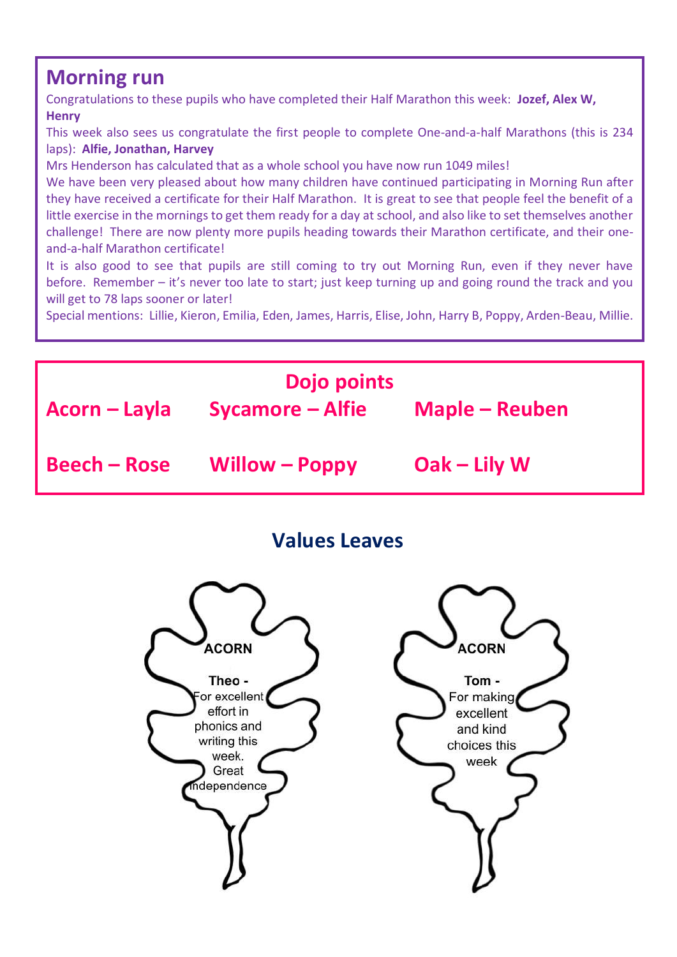### **Morning run**

Congratulations to these pupils who have completed their Half Marathon this week: **Jozef, Alex W, Henry**

This week also sees us congratulate the first people to complete One-and-a-half Marathons (this is 234 laps): **Alfie, Jonathan, Harvey**

Mrs Henderson has calculated that as a whole school you have now run 1049 miles!

We have been very pleased about how many children have continued participating in Morning Run after they have received a certificate for their Half Marathon. It is great to see that people feel the benefit of a little exercise in the mornings to get them ready for a day at school, and also like to set themselves another challenge! There are now plenty more pupils heading towards their Marathon certificate, and their oneand-a-half Marathon certificate!

It is also good to see that pupils are still coming to try out Morning Run, even if they never have before. Remember – it's never too late to start; just keep turning up and going round the track and you will get to 78 laps sooner or later!

Special mentions: Lillie, Kieron, Emilia, Eden, James, Harris, Elise, John, Harry B, Poppy, Arden-Beau, Millie.